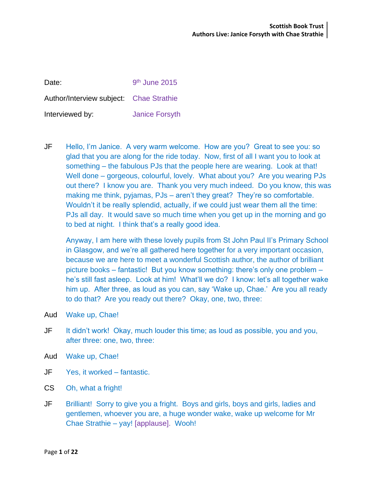| Date:                                   | $9th$ June 2015       |
|-----------------------------------------|-----------------------|
| Author/Interview subject: Chae Strathie |                       |
| Interviewed by:                         | <b>Janice Forsyth</b> |

JF Hello, I'm Janice. A very warm welcome. How are you? Great to see you: so glad that you are along for the ride today. Now, first of all I want you to look at something – the fabulous PJs that the people here are wearing. Look at that! Well done – gorgeous, colourful, lovely. What about you? Are you wearing PJs out there? I know you are. Thank you very much indeed. Do you know, this was making me think, pyjamas, PJs – aren't they great? They're so comfortable. Wouldn't it be really splendid, actually, if we could just wear them all the time: PJs all day. It would save so much time when you get up in the morning and go to bed at night. I think that's a really good idea.

Anyway, I am here with these lovely pupils from St John Paul II's Primary School in Glasgow, and we're all gathered here together for a very important occasion, because we are here to meet a wonderful Scottish author, the author of brilliant picture books – fantastic! But you know something: there's only one problem – he's still fast asleep. Look at him! What'll we do? I know: let's all together wake him up. After three, as loud as you can, say 'Wake up, Chae.' Are you all ready to do that? Are you ready out there? Okay, one, two, three:

- Aud Wake up, Chae!
- JF It didn't work! Okay, much louder this time; as loud as possible, you and you, after three: one, two, three:
- Aud Wake up, Chae!
- JF Yes, it worked fantastic.
- CS Oh, what a fright!
- JF Brilliant! Sorry to give you a fright. Boys and girls, boys and girls, ladies and gentlemen, whoever you are, a huge wonder wake, wake up welcome for Mr Chae Strathie – yay! [applause]. Wooh!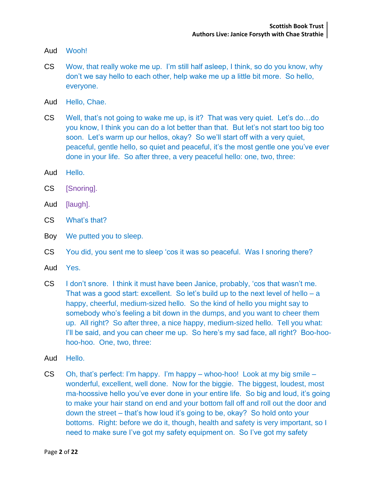- Aud Wooh!
- CS Wow, that really woke me up. I'm still half asleep, I think, so do you know, why don't we say hello to each other, help wake me up a little bit more. So hello, everyone.
- Aud Hello, Chae.
- CS Well, that's not going to wake me up, is it? That was very quiet. Let's do…do you know, I think you can do a lot better than that. But let's not start too big too soon. Let's warm up our hellos, okay? So we'll start off with a very quiet, peaceful, gentle hello, so quiet and peaceful, it's the most gentle one you've ever done in your life. So after three, a very peaceful hello: one, two, three:
- Aud Hello.
- CS [Snoring].
- Aud [laugh].
- CS What's that?
- Boy We putted you to sleep.
- CS You did, you sent me to sleep 'cos it was so peaceful. Was I snoring there?
- Aud Yes.
- CS I don't snore. I think it must have been Janice, probably, 'cos that wasn't me. That was a good start: excellent. So let's build up to the next level of hello  $- a$ happy, cheerful, medium-sized hello. So the kind of hello you might say to somebody who's feeling a bit down in the dumps, and you want to cheer them up. All right? So after three, a nice happy, medium-sized hello. Tell you what: I'll be said, and you can cheer me up. So here's my sad face, all right? Boo-hoohoo-hoo. One, two, three:
- Aud Hello.
- CS Oh, that's perfect: I'm happy. I'm happy whoo-hoo! Look at my big smile wonderful, excellent, well done. Now for the biggie. The biggest, loudest, most ma-hoossive hello you've ever done in your entire life. So big and loud, it's going to make your hair stand on end and your bottom fall off and roll out the door and down the street – that's how loud it's going to be, okay? So hold onto your bottoms. Right: before we do it, though, health and safety is very important, so I need to make sure I've got my safety equipment on. So I've got my safety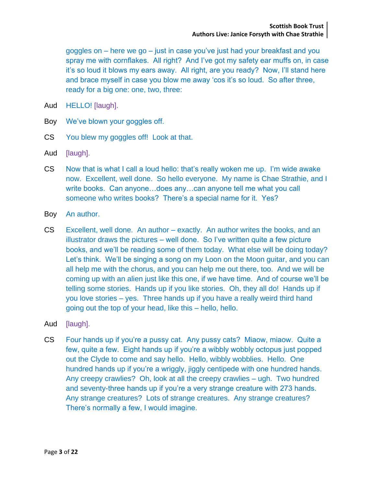goggles on – here we go – just in case you've just had your breakfast and you spray me with cornflakes. All right? And I've got my safety ear muffs on, in case it's so loud it blows my ears away. All right, are you ready? Now, I'll stand here and brace myself in case you blow me away 'cos it's so loud. So after three, ready for a big one: one, two, three:

- Aud HELLO! [laugh].
- Boy We've blown your goggles off.
- CS You blew my goggles off! Look at that.
- Aud [laugh].
- CS Now that is what I call a loud hello: that's really woken me up. I'm wide awake now. Excellent, well done. So hello everyone. My name is Chae Strathie, and I write books. Can anyone…does any…can anyone tell me what you call someone who writes books? There's a special name for it. Yes?
- Boy An author.
- CS Excellent, well done. An author exactly. An author writes the books, and an illustrator draws the pictures – well done. So I've written quite a few picture books, and we'll be reading some of them today. What else will be doing today? Let's think. We'll be singing a song on my Loon on the Moon guitar, and you can all help me with the chorus, and you can help me out there, too. And we will be coming up with an alien just like this one, if we have time. And of course we'll be telling some stories. Hands up if you like stories. Oh, they all do! Hands up if you love stories – yes. Three hands up if you have a really weird third hand going out the top of your head, like this – hello, hello.
- Aud [laugh].
- CS Four hands up if you're a pussy cat. Any pussy cats? Miaow, miaow. Quite a few, quite a few. Eight hands up if you're a wibbly wobbly octopus just popped out the Clyde to come and say hello. Hello, wibbly wobblies. Hello. One hundred hands up if you're a wriggly, jiggly centipede with one hundred hands. Any creepy crawlies? Oh, look at all the creepy crawlies – ugh. Two hundred and seventy-three hands up if you're a very strange creature with 273 hands. Any strange creatures? Lots of strange creatures. Any strange creatures? There's normally a few, I would imagine.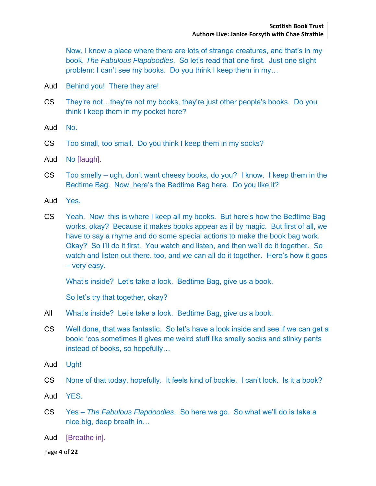Now, I know a place where there are lots of strange creatures, and that's in my book, *The Fabulous Flapdoodles*. So let's read that one first. Just one slight problem: I can't see my books. Do you think I keep them in my…

- Aud Behind you! There they are!
- CS They're not…they're not my books, they're just other people's books. Do you think I keep them in my pocket here?
- Aud No.
- CS Too small, too small. Do you think I keep them in my socks?
- Aud No [laugh].
- CS Too smelly ugh, don't want cheesy books, do you? I know. I keep them in the Bedtime Bag. Now, here's the Bedtime Bag here. Do you like it?
- Aud Yes.
- CS Yeah. Now, this is where I keep all my books. But here's how the Bedtime Bag works, okay? Because it makes books appear as if by magic. But first of all, we have to say a rhyme and do some special actions to make the book bag work. Okay? So I'll do it first. You watch and listen, and then we'll do it together. So watch and listen out there, too, and we can all do it together. Here's how it goes – very easy.

What's inside? Let's take a look. Bedtime Bag, give us a book.

So let's try that together, okay?

- All What's inside? Let's take a look. Bedtime Bag, give us a book.
- CS Well done, that was fantastic. So let's have a look inside and see if we can get a book; 'cos sometimes it gives me weird stuff like smelly socks and stinky pants instead of books, so hopefully…
- Aud Ugh!
- CS None of that today, hopefully. It feels kind of bookie. I can't look. Is it a book?
- Aud YES.
- CS Yes *The Fabulous Flapdoodles*. So here we go. So what we'll do is take a nice big, deep breath in…
- Aud [Breathe in].

Page **4** of **22**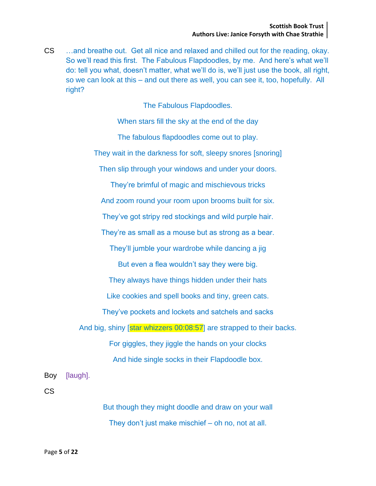CS …and breathe out. Get all nice and relaxed and chilled out for the reading, okay. So we'll read this first. The Fabulous Flapdoodles, by me. And here's what we'll do: tell you what, doesn't matter, what we'll do is, we'll just use the book, all right, so we can look at this – and out there as well, you can see it, too, hopefully. All right?

The Fabulous Flapdoodles.

When stars fill the sky at the end of the day

The fabulous flapdoodles come out to play.

They wait in the darkness for soft, sleepy snores [snoring]

Then slip through your windows and under your doors.

They're brimful of magic and mischievous tricks

And zoom round your room upon brooms built for six.

They've got stripy red stockings and wild purple hair.

They're as small as a mouse but as strong as a bear.

They'll jumble your wardrobe while dancing a jig

But even a flea wouldn't say they were big.

They always have things hidden under their hats

Like cookies and spell books and tiny, green cats.

They've pockets and lockets and satchels and sacks

And big, shiny [star whizzers 00:08:57] are strapped to their backs.

For giggles, they jiggle the hands on your clocks

And hide single socks in their Flapdoodle box.

Boy [laugh].

CS

But though they might doodle and draw on your wall They don't just make mischief – oh no, not at all.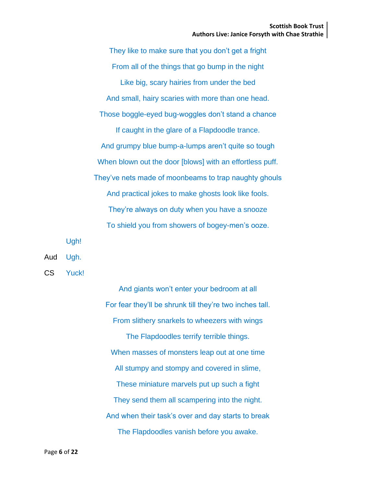They like to make sure that you don't get a fright From all of the things that go bump in the night Like big, scary hairies from under the bed And small, hairy scaries with more than one head. Those boggle-eyed bug-woggles don't stand a chance If caught in the glare of a Flapdoodle trance. And grumpy blue bump-a-lumps aren't quite so tough When blown out the door [blows] with an effortless puff. They've nets made of moonbeams to trap naughty ghouls And practical jokes to make ghosts look like fools. They're always on duty when you have a snooze To shield you from showers of bogey-men's ooze.

Ugh!

Aud Ugh.

CS Yuck!

And giants won't enter your bedroom at all For fear they'll be shrunk till they're two inches tall. From slithery snarkels to wheezers with wings The Flapdoodles terrify terrible things. When masses of monsters leap out at one time All stumpy and stompy and covered in slime, These miniature marvels put up such a fight They send them all scampering into the night. And when their task's over and day starts to break The Flapdoodles vanish before you awake.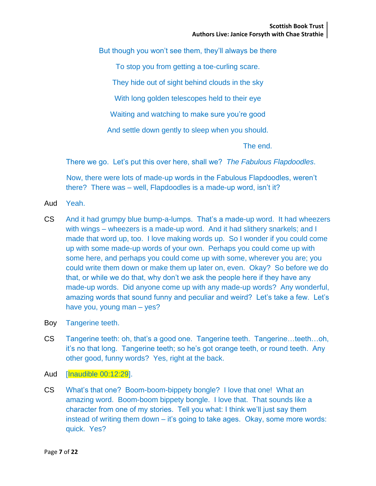But though you won't see them, they'll always be there

To stop you from getting a toe-curling scare.

They hide out of sight behind clouds in the sky

With long golden telescopes held to their eye

Waiting and watching to make sure you're good

And settle down gently to sleep when you should.

The end.

There we go. Let's put this over here, shall we? *The Fabulous Flapdoodles*.

Now, there were lots of made-up words in the Fabulous Flapdoodles, weren't there? There was – well, Flapdoodles is a made-up word, isn't it?

- Aud Yeah.
- CS And it had grumpy blue bump-a-lumps. That's a made-up word. It had wheezers with wings – wheezers is a made-up word. And it had slithery snarkels; and I made that word up, too. I love making words up. So I wonder if you could come up with some made-up words of your own. Perhaps you could come up with some here, and perhaps you could come up with some, wherever you are; you could write them down or make them up later on, even. Okay? So before we do that, or while we do that, why don't we ask the people here if they have any made-up words. Did anyone come up with any made-up words? Any wonderful, amazing words that sound funny and peculiar and weird? Let's take a few. Let's have you, young man – yes?
- Boy Tangerine teeth.
- CS Tangerine teeth: oh, that's a good one. Tangerine teeth. Tangerine…teeth…oh, it's no that long. Tangerine teeth; so he's got orange teeth, or round teeth. Any other good, funny words? Yes, right at the back.
- Aud [Inaudible 00:12:29].
- CS What's that one? Boom-boom-bippety bongle? I love that one! What an amazing word. Boom-boom bippety bongle. I love that. That sounds like a character from one of my stories. Tell you what: I think we'll just say them instead of writing them down – it's going to take ages. Okay, some more words: quick. Yes?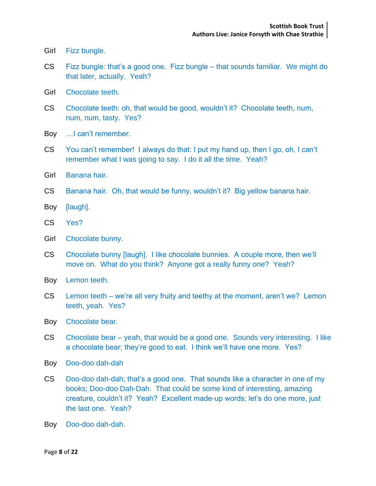- Girl Fizz bungle.
- CS Fizz bungle: that's a good one. Fizz bungle that sounds familiar. We might do that later, actually. Yeah?
- Girl Chocolate teeth.
- CS Chocolate teeth: oh, that would be good, wouldn't it? Chocolate teeth, num, num, num, tasty. Yes?
- Boy …I can't remember.
- CS You can't remember! I always do that: I put my hand up, then I go, oh, I can't remember what I was going to say. I do it all the time. Yeah?
- Girl Banana hair.
- CS Banana hair. Oh, that would be funny, wouldn't it? Big yellow banana hair.
- Boy [laugh].
- CS Yes?
- Girl Chocolate bunny.
- CS Chocolate bunny [laugh]. I like chocolate bunnies. A couple more, then we'll move on. What do you think? Anyone got a really funny one? Yeah?
- Boy Lemon teeth.
- CS Lemon teeth we're all very fruity and teethy at the moment, aren't we? Lemon teeth, yeah. Yes?
- Boy Chocolate bear.
- CS Chocolate bear yeah, that would be a good one. Sounds very interesting. I like a chocolate bear; they're good to eat. I think we'll have one more. Yes?
- Boy Doo-doo dah-dah
- CS Doo-doo dah-dah; that's a good one. That sounds like a character in one of my books; Doo-doo Dah-Dah. That could be some kind of interesting, amazing creature, couldn't it? Yeah? Excellent made-up words; let's do one more, just the last one. Yeah?
- Boy Doo-doo dah-dah.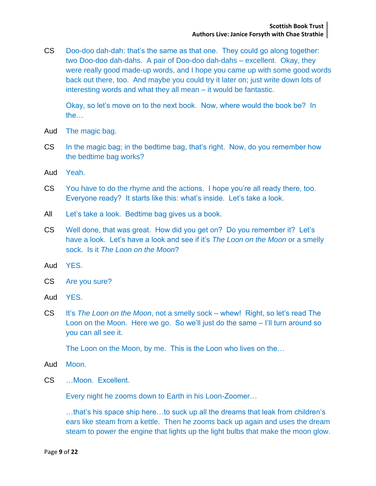CS Doo-doo dah-dah: that's the same as that one. They could go along together: two Doo-doo dah-dahs. A pair of Doo-doo dah-dahs – excellent. Okay, they were really good made-up words, and I hope you came up with some good words back out there, too. And maybe you could try it later on; just write down lots of interesting words and what they all mean – it would be fantastic.

Okay, so let's move on to the next book. Now, where would the book be? In the…

- Aud The magic bag.
- CS In the magic bag; in the bedtime bag, that's right. Now, do you remember how the bedtime bag works?
- Aud Yeah.
- CS You have to do the rhyme and the actions. I hope you're all ready there, too. Everyone ready? It starts like this: what's inside. Let's take a look.
- All Let's take a look. Bedtime bag gives us a book.
- CS Well done, that was great. How did you get on? Do you remember it? Let's have a look. Let's have a look and see if it's *The Loon on the Moon* or a smelly sock. Is it *The Loon on the Moon*?
- Aud YES.
- CS Are you sure?
- Aud YES.
- CS It's *The Loon on the Moon*, not a smelly sock whew! Right, so let's read The Loon on the Moon. Here we go. So we'll just do the same – I'll turn around so you can all see it.

The Loon on the Moon, by me. This is the Loon who lives on the…

- Aud Moon.
- CS …Moon. Excellent.

Every night he zooms down to Earth in his Loon-Zoomer…

…that's his space ship here…to suck up all the dreams that leak from children's ears like steam from a kettle. Then he zooms back up again and uses the dream steam to power the engine that lights up the light bulbs that make the moon glow.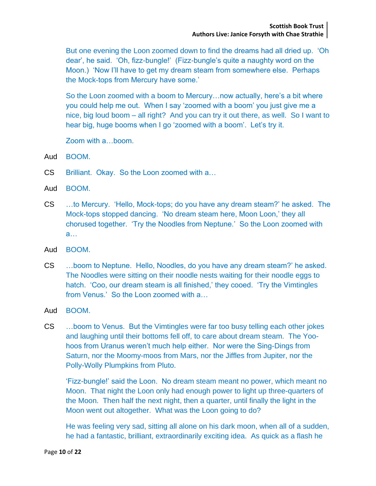But one evening the Loon zoomed down to find the dreams had all dried up. 'Oh dear', he said. 'Oh, fizz-bungle!' (Fizz-bungle's quite a naughty word on the Moon.) 'Now I'll have to get my dream steam from somewhere else. Perhaps the Mock-tops from Mercury have some.'

So the Loon zoomed with a boom to Mercury…now actually, here's a bit where you could help me out. When I say 'zoomed with a boom' you just give me a nice, big loud boom – all right? And you can try it out there, as well. So I want to hear big, huge booms when I go 'zoomed with a boom'. Let's try it.

Zoom with a…boom.

Aud BOOM.

- CS Brilliant. Okay. So the Loon zoomed with a…
- Aud BOOM.
- CS …to Mercury. 'Hello, Mock-tops; do you have any dream steam?' he asked. The Mock-tops stopped dancing. 'No dream steam here, Moon Loon,' they all chorused together. 'Try the Noodles from Neptune.' So the Loon zoomed with a…
- Aud BOOM.
- CS …boom to Neptune. Hello, Noodles, do you have any dream steam?' he asked. The Noodles were sitting on their noodle nests waiting for their noodle eggs to hatch. 'Coo, our dream steam is all finished,' they cooed. 'Try the Vimtingles from Venus.' So the Loon zoomed with a…
- Aud BOOM.
- CS …boom to Venus. But the Vimtingles were far too busy telling each other jokes and laughing until their bottoms fell off, to care about dream steam. The Yoohoos from Uranus weren't much help either. Nor were the Sing-Dings from Saturn, nor the Moomy-moos from Mars, nor the Jiffles from Jupiter, nor the Polly-Wolly Plumpkins from Pluto.

'Fizz-bungle!' said the Loon. No dream steam meant no power, which meant no Moon. That night the Loon only had enough power to light up three-quarters of the Moon. Then half the next night, then a quarter, until finally the light in the Moon went out altogether. What was the Loon going to do?

He was feeling very sad, sitting all alone on his dark moon, when all of a sudden, he had a fantastic, brilliant, extraordinarily exciting idea. As quick as a flash he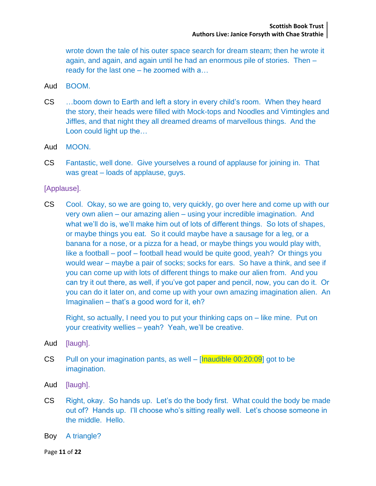wrote down the tale of his outer space search for dream steam; then he wrote it again, and again, and again until he had an enormous pile of stories. Then – ready for the last one – he zoomed with a…

- Aud BOOM.
- CS …boom down to Earth and left a story in every child's room. When they heard the story, their heads were filled with Mock-tops and Noodles and Vimtingles and Jiffles, and that night they all dreamed dreams of marvellous things. And the Loon could light up the…
- Aud MOON.
- CS Fantastic, well done. Give yourselves a round of applause for joining in. That was great – loads of applause, guys.

[Applause].

CS Cool. Okay, so we are going to, very quickly, go over here and come up with our very own alien – our amazing alien – using your incredible imagination. And what we'll do is, we'll make him out of lots of different things. So lots of shapes, or maybe things you eat. So it could maybe have a sausage for a leg, or a banana for a nose, or a pizza for a head, or maybe things you would play with, like a football – poof – football head would be quite good, yeah? Or things you would wear – maybe a pair of socks; socks for ears. So have a think, and see if you can come up with lots of different things to make our alien from. And you can try it out there, as well, if you've got paper and pencil, now, you can do it. Or you can do it later on, and come up with your own amazing imagination alien. An Imaginalien – that's a good word for it, eh?

Right, so actually, I need you to put your thinking caps on – like mine. Put on your creativity wellies – yeah? Yeah, we'll be creative.

- Aud [laugh].
- CS Pull on your imagination pants, as well  $[$ Inaudible 00:20:09 $]$  got to be imagination.
- Aud [laugh].
- CS Right, okay. So hands up. Let's do the body first. What could the body be made out of? Hands up. I'll choose who's sitting really well. Let's choose someone in the middle. Hello.
- Boy A triangle?

Page **11** of **22**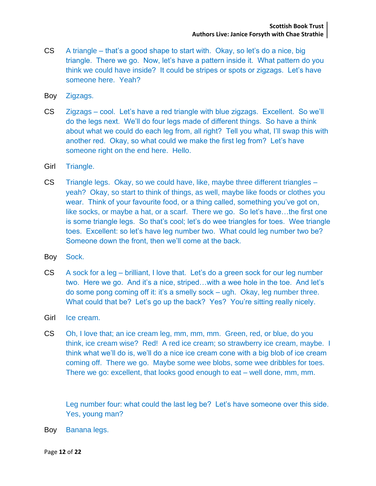- CS A triangle that's a good shape to start with. Okay, so let's do a nice, big triangle. There we go. Now, let's have a pattern inside it. What pattern do you think we could have inside? It could be stripes or spots or zigzags. Let's have someone here. Yeah?
- Boy Zigzags.
- CS Zigzags cool. Let's have a red triangle with blue zigzags. Excellent. So we'll do the legs next. We'll do four legs made of different things. So have a think about what we could do each leg from, all right? Tell you what, I'll swap this with another red. Okay, so what could we make the first leg from? Let's have someone right on the end here. Hello.
- Girl Triangle.
- CS Triangle legs. Okay, so we could have, like, maybe three different triangles yeah? Okay, so start to think of things, as well, maybe like foods or clothes you wear. Think of your favourite food, or a thing called, something you've got on, like socks, or maybe a hat, or a scarf. There we go. So let's have…the first one is some triangle legs. So that's cool; let's do wee triangles for toes. Wee triangle toes. Excellent: so let's have leg number two. What could leg number two be? Someone down the front, then we'll come at the back.
- Boy Sock.
- CS A sock for a leg brilliant, I love that. Let's do a green sock for our leg number two. Here we go. And it's a nice, striped…with a wee hole in the toe. And let's do some pong coming off it: it's a smelly sock – ugh. Okay, leg number three. What could that be? Let's go up the back? Yes? You're sitting really nicely.
- Girl Ice cream.
- CS Oh, I love that; an ice cream leg, mm, mm, mm. Green, red, or blue, do you think, ice cream wise? Red! A red ice cream; so strawberry ice cream, maybe. I think what we'll do is, we'll do a nice ice cream cone with a big blob of ice cream coming off. There we go. Maybe some wee blobs, some wee dribbles for toes. There we go: excellent, that looks good enough to eat – well done, mm, mm.

Leg number four: what could the last leg be? Let's have someone over this side. Yes, young man?

Boy Banana legs.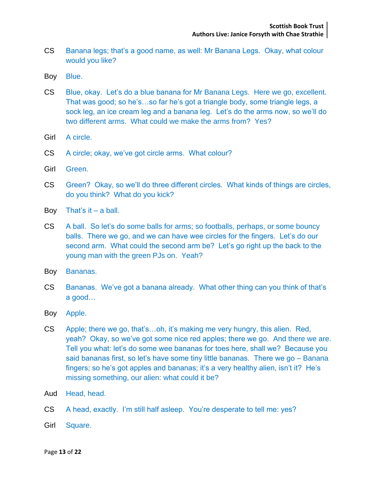- CS Banana legs; that's a good name, as well: Mr Banana Legs. Okay, what colour would you like?
- Boy Blue.
- CS Blue, okay. Let's do a blue banana for Mr Banana Legs. Here we go, excellent. That was good; so he's…so far he's got a triangle body, some triangle legs, a sock leg, an ice cream leg and a banana leg. Let's do the arms now, so we'll do two different arms. What could we make the arms from? Yes?
- Girl A circle.
- CS A circle; okay, we've got circle arms. What colour?
- Girl Green.
- CS Green? Okay, so we'll do three different circles. What kinds of things are circles, do you think? What do you kick?
- Boy That's it  $-$  a ball.
- CS A ball. So let's do some balls for arms; so footballs, perhaps, or some bouncy balls. There we go, and we can have wee circles for the fingers. Let's do our second arm. What could the second arm be? Let's go right up the back to the young man with the green PJs on. Yeah?
- Boy Bananas.
- CS Bananas. We've got a banana already. What other thing can you think of that's a good…
- Boy Apple.
- CS Apple; there we go, that's…oh, it's making me very hungry, this alien. Red, yeah? Okay, so we've got some nice red apples; there we go. And there we are. Tell you what: let's do some wee bananas for toes here, shall we? Because you said bananas first, so let's have some tiny little bananas. There we go – Banana fingers; so he's got apples and bananas; it's a very healthy alien, isn't it? He's missing something, our alien: what could it be?
- Aud Head, head.
- CS A head, exactly. I'm still half asleep. You're desperate to tell me: yes?
- Girl Square.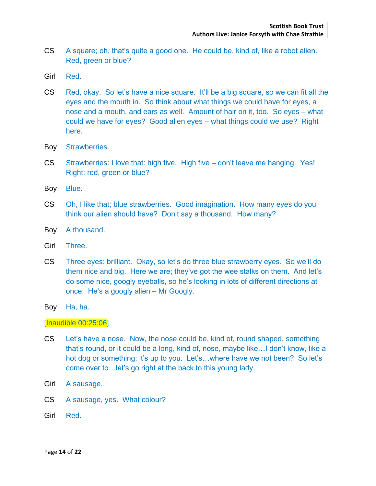- CS A square; oh, that's quite a good one. He could be, kind of, like a robot alien. Red, green or blue?
- Girl Red.
- CS Red, okay. So let's have a nice square. It'll be a big square, so we can fit all the eyes and the mouth in. So think about what things we could have for eyes, a nose and a mouth, and ears as well. Amount of hair on it, too. So eyes – what could we have for eyes? Good alien eyes – what things could we use? Right here.
- Boy Strawberries.
- CS Strawberries: I love that: high five. High five don't leave me hanging. Yes! Right: red, green or blue?
- Boy Blue.
- CS Oh, I like that; blue strawberries. Good imagination. How many eyes do you think our alien should have? Don't say a thousand. How many?
- Boy A thousand.
- Girl Three.
- CS Three eyes: brilliant. Okay, so let's do three blue strawberry eyes. So we'll do them nice and big. Here we are; they've got the wee stalks on them. And let's do some nice, googly eyeballs, so he's looking in lots of different directions at once. He's a googly alien – Mr Googly.
- Boy Ha, ha.

## [Inaudible 00:25:06]

- CS Let's have a nose. Now, the nose could be, kind of, round shaped, something that's round, or it could be a long, kind of, nose, maybe like…I don't know, like a hot dog or something; it's up to you. Let's...where have we not been? So let's come over to…let's go right at the back to this young lady.
- Girl A sausage.
- CS A sausage, yes. What colour?
- Girl Red.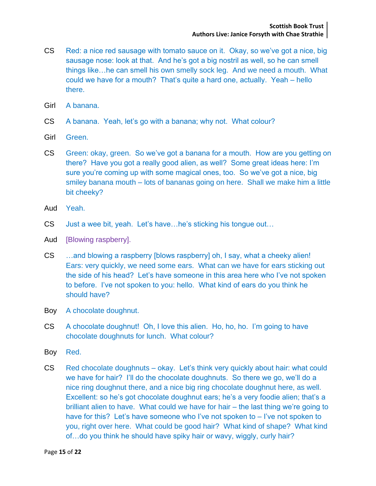- CS Red: a nice red sausage with tomato sauce on it. Okay, so we've got a nice, big sausage nose: look at that. And he's got a big nostril as well, so he can smell things like…he can smell his own smelly sock leg. And we need a mouth. What could we have for a mouth? That's quite a hard one, actually. Yeah – hello there.
- Girl A banana.
- CS A banana. Yeah, let's go with a banana; why not. What colour?
- Girl Green.
- CS Green: okay, green. So we've got a banana for a mouth. How are you getting on there? Have you got a really good alien, as well? Some great ideas here: I'm sure you're coming up with some magical ones, too. So we've got a nice, big smiley banana mouth – lots of bananas going on here. Shall we make him a little bit cheeky?
- Aud Yeah.
- CS Just a wee bit, yeah. Let's have…he's sticking his tongue out…
- Aud [Blowing raspberry].
- CS …and blowing a raspberry [blows raspberry] oh, I say, what a cheeky alien! Ears: very quickly, we need some ears. What can we have for ears sticking out the side of his head? Let's have someone in this area here who I've not spoken to before. I've not spoken to you: hello. What kind of ears do you think he should have?
- Boy A chocolate doughnut.
- CS A chocolate doughnut! Oh, I love this alien. Ho, ho, ho. I'm going to have chocolate doughnuts for lunch. What colour?
- Boy Red.
- CS Red chocolate doughnuts okay. Let's think very quickly about hair: what could we have for hair? I'll do the chocolate doughnuts. So there we go, we'll do a nice ring doughnut there, and a nice big ring chocolate doughnut here, as well. Excellent: so he's got chocolate doughnut ears; he's a very foodie alien; that's a brilliant alien to have. What could we have for hair – the last thing we're going to have for this? Let's have someone who I've not spoken to – I've not spoken to you, right over here. What could be good hair? What kind of shape? What kind of…do you think he should have spiky hair or wavy, wiggly, curly hair?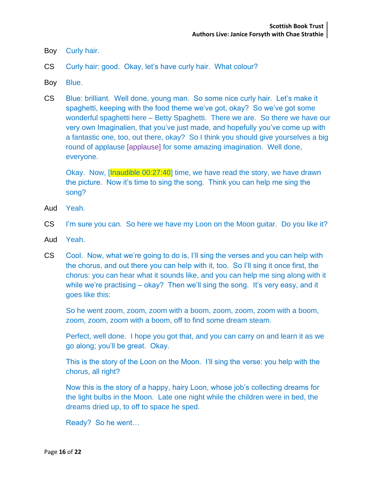- Boy Curly hair.
- CS Curly hair: good. Okay, let's have curly hair. What colour?
- Boy Blue.
- CS Blue: brilliant. Well done, young man. So some nice curly hair. Let's make it spaghetti, keeping with the food theme we've got, okay? So we've got some wonderful spaghetti here – Betty Spaghetti. There we are. So there we have our very own Imaginalien, that you've just made, and hopefully you've come up with a fantastic one, too, out there, okay? So I think you should give yourselves a big round of applause [applause] for some amazing imagination. Well done, everyone.

Okay. Now, [Inaudible 00:27:40] time, we have read the story, we have drawn the picture. Now it's time to sing the song. Think you can help me sing the song?

- Aud Yeah.
- CS I'm sure you can. So here we have my Loon on the Moon guitar. Do you like it?
- Aud Yeah.
- CS Cool. Now, what we're going to do is, I'll sing the verses and you can help with the chorus, and out there you can help with it, too. So I'll sing it once first, the chorus: you can hear what it sounds like, and you can help me sing along with it while we're practising – okay? Then we'll sing the song. It's very easy, and it goes like this:

So he went zoom, zoom, zoom with a boom, zoom, zoom, zoom with a boom, zoom, zoom, zoom with a boom, off to find some dream steam.

Perfect, well done. I hope you got that, and you can carry on and learn it as we go along; you'll be great. Okay.

This is the story of the Loon on the Moon. I'll sing the verse: you help with the chorus, all right?

Now this is the story of a happy, hairy Loon, whose job's collecting dreams for the light bulbs in the Moon. Late one night while the children were in bed, the dreams dried up, to off to space he sped.

Ready? So he went…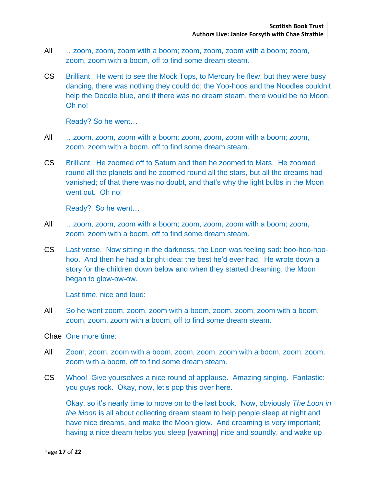- All …zoom, zoom, zoom with a boom; zoom, zoom, zoom with a boom; zoom, zoom, zoom with a boom, off to find some dream steam.
- CS Brilliant. He went to see the Mock Tops, to Mercury he flew, but they were busy dancing, there was nothing they could do; the Yoo-hoos and the Noodles couldn't help the Doodle blue, and if there was no dream steam, there would be no Moon. Oh no!

Ready? So he went…

- All …zoom, zoom, zoom with a boom; zoom, zoom, zoom with a boom; zoom, zoom, zoom with a boom, off to find some dream steam.
- CS Brilliant. He zoomed off to Saturn and then he zoomed to Mars. He zoomed round all the planets and he zoomed round all the stars, but all the dreams had vanished; of that there was no doubt, and that's why the light bulbs in the Moon went out. Oh no!

Ready? So he went…

- All …zoom, zoom, zoom with a boom; zoom, zoom, zoom with a boom; zoom, zoom, zoom with a boom, off to find some dream steam.
- CS Last verse. Now sitting in the darkness, the Loon was feeling sad: boo-hoo-hoohoo. And then he had a bright idea: the best he'd ever had. He wrote down a story for the children down below and when they started dreaming, the Moon began to glow-ow-ow.

Last time, nice and loud:

All So he went zoom, zoom, zoom with a boom, zoom, zoom, zoom with a boom, zoom, zoom, zoom with a boom, off to find some dream steam.

Chae One more time:

- All Zoom, zoom, zoom with a boom, zoom, zoom, zoom with a boom, zoom, zoom, zoom with a boom, off to find some dream steam.
- CS Whoo! Give yourselves a nice round of applause. Amazing singing. Fantastic: you guys rock. Okay, now, let's pop this over here.

Okay, so it's nearly time to move on to the last book. Now, obviously *The Loon in the Moon* is all about collecting dream steam to help people sleep at night and have nice dreams, and make the Moon glow. And dreaming is very important; having a nice dream helps you sleep [yawning] nice and soundly, and wake up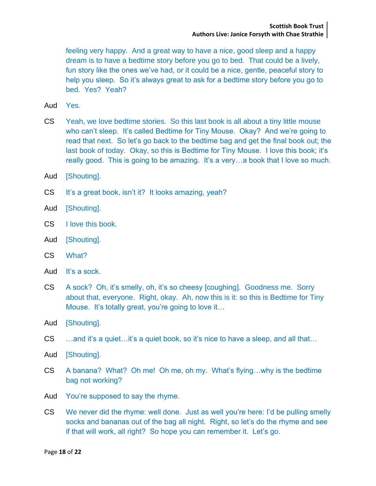feeling very happy. And a great way to have a nice, good sleep and a happy dream is to have a bedtime story before you go to bed. That could be a lively, fun story like the ones we've had, or it could be a nice, gentle, peaceful story to help you sleep. So it's always great to ask for a bedtime story before you go to bed. Yes? Yeah?

- Aud Yes.
- CS Yeah, we love bedtime stories. So this last book is all about a tiny little mouse who can't sleep. It's called Bedtime for Tiny Mouse. Okay? And we're going to read that next. So let's go back to the bedtime bag and get the final book out; the last book of today. Okay, so this is Bedtime for Tiny Mouse. I love this book; it's really good. This is going to be amazing. It's a very…a book that I love so much.
- Aud [Shouting].
- CS It's a great book, isn't it? It looks amazing, yeah?
- Aud [Shouting].
- CS I love this book.
- Aud [Shouting].
- CS What?
- Aud It's a sock.
- CS A sock? Oh, it's smelly, oh, it's so cheesy [coughing]. Goodness me. Sorry about that, everyone. Right, okay. Ah, now this is it: so this is Bedtime for Tiny Mouse. It's totally great, you're going to love it…
- Aud [Shouting].
- CS …and it's a quiet…it's a quiet book, so it's nice to have a sleep, and all that…
- Aud [Shouting].
- CS A banana? What? Oh me! Oh me, oh my. What's flying…why is the bedtime bag not working?
- Aud You're supposed to say the rhyme.
- CS We never did the rhyme: well done. Just as well you're here: I'd be pulling smelly socks and bananas out of the bag all night. Right, so let's do the rhyme and see if that will work, all right? So hope you can remember it. Let's go.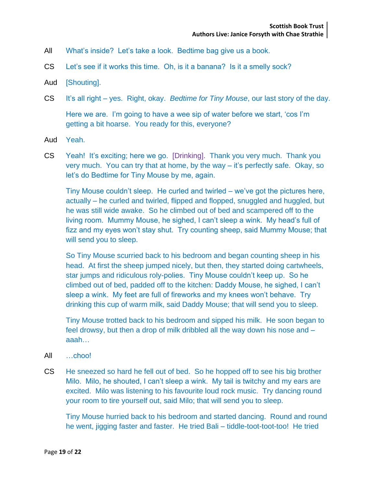- All What's inside? Let's take a look. Bedtime bag give us a book.
- CS Let's see if it works this time. Oh, is it a banana? Is it a smelly sock?
- Aud [Shouting].
- CS It's all right yes. Right, okay. *Bedtime for Tiny Mouse*, our last story of the day.

Here we are. I'm going to have a wee sip of water before we start, 'cos I'm getting a bit hoarse. You ready for this, everyone?

- Aud Yeah.
- CS Yeah! It's exciting; here we go. [Drinking]. Thank you very much. Thank you very much. You can try that at home, by the way – it's perfectly safe. Okay, so let's do Bedtime for Tiny Mouse by me, again.

Tiny Mouse couldn't sleep. He curled and twirled – we've got the pictures here, actually – he curled and twirled, flipped and flopped, snuggled and huggled, but he was still wide awake. So he climbed out of bed and scampered off to the living room. Mummy Mouse, he sighed, I can't sleep a wink. My head's full of fizz and my eyes won't stay shut. Try counting sheep, said Mummy Mouse; that will send you to sleep.

So Tiny Mouse scurried back to his bedroom and began counting sheep in his head. At first the sheep jumped nicely, but then, they started doing cartwheels, star jumps and ridiculous roly-polies. Tiny Mouse couldn't keep up. So he climbed out of bed, padded off to the kitchen: Daddy Mouse, he sighed, I can't sleep a wink. My feet are full of fireworks and my knees won't behave. Try drinking this cup of warm milk, said Daddy Mouse; that will send you to sleep.

Tiny Mouse trotted back to his bedroom and sipped his milk. He soon began to feel drowsy, but then a drop of milk dribbled all the way down his nose and – aaah…

- All …choo!
- CS He sneezed so hard he fell out of bed. So he hopped off to see his big brother Milo. Milo, he shouted, I can't sleep a wink. My tail is twitchy and my ears are excited. Milo was listening to his favourite loud rock music. Try dancing round your room to tire yourself out, said Milo; that will send you to sleep.

Tiny Mouse hurried back to his bedroom and started dancing. Round and round he went, jigging faster and faster. He tried Bali – tiddle-toot-toot-too! He tried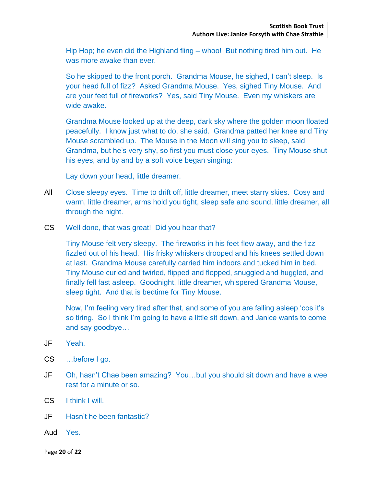Hip Hop; he even did the Highland fling – whoo! But nothing tired him out. He was more awake than ever.

So he skipped to the front porch. Grandma Mouse, he sighed, I can't sleep. Is your head full of fizz? Asked Grandma Mouse. Yes, sighed Tiny Mouse. And are your feet full of fireworks? Yes, said Tiny Mouse. Even my whiskers are wide awake.

Grandma Mouse looked up at the deep, dark sky where the golden moon floated peacefully. I know just what to do, she said. Grandma patted her knee and Tiny Mouse scrambled up. The Mouse in the Moon will sing you to sleep, said Grandma, but he's very shy, so first you must close your eyes. Tiny Mouse shut his eyes, and by and by a soft voice began singing:

Lay down your head, little dreamer.

- All Close sleepy eyes. Time to drift off, little dreamer, meet starry skies. Cosy and warm, little dreamer, arms hold you tight, sleep safe and sound, little dreamer, all through the night.
- CS Well done, that was great! Did you hear that?

Tiny Mouse felt very sleepy. The fireworks in his feet flew away, and the fizz fizzled out of his head. His frisky whiskers drooped and his knees settled down at last. Grandma Mouse carefully carried him indoors and tucked him in bed. Tiny Mouse curled and twirled, flipped and flopped, snuggled and huggled, and finally fell fast asleep. Goodnight, little dreamer, whispered Grandma Mouse, sleep tight. And that is bedtime for Tiny Mouse.

Now, I'm feeling very tired after that, and some of you are falling asleep 'cos it's so tiring. So I think I'm going to have a little sit down, and Janice wants to come and say goodbye…

- JF Yeah.
- CS …before I go.
- JF Oh, hasn't Chae been amazing? You…but you should sit down and have a wee rest for a minute or so.
- CS I think I will.
- JF Hasn't he been fantastic?
- Aud Yes.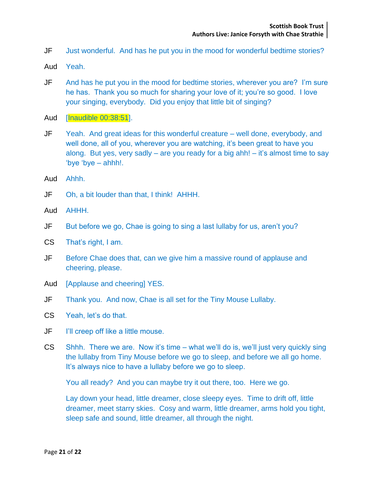- JF Just wonderful. And has he put you in the mood for wonderful bedtime stories?
- Aud Yeah.
- JF And has he put you in the mood for bedtime stories, wherever you are? I'm sure he has. Thank you so much for sharing your love of it; you're so good. I love your singing, everybody. Did you enjoy that little bit of singing?
- Aud [Inaudible 00:38:51].
- JF Yeah. And great ideas for this wonderful creature well done, everybody, and well done, all of you, wherever you are watching, it's been great to have you along. But yes, very sadly – are you ready for a big ahh! – it's almost time to say 'bye 'bye – ahhh!.
- Aud Ahhh.
- JF Oh, a bit louder than that, I think! AHHH.
- Aud AHHH.
- JF But before we go, Chae is going to sing a last lullaby for us, aren't you?
- CS That's right, I am.
- JF Before Chae does that, can we give him a massive round of applause and cheering, please.
- Aud [Applause and cheering] YES.
- JF Thank you. And now, Chae is all set for the Tiny Mouse Lullaby.
- CS Yeah, let's do that.
- JF I'll creep off like a little mouse.
- CS Shhh. There we are. Now it's time what we'll do is, we'll just very quickly sing the lullaby from Tiny Mouse before we go to sleep, and before we all go home. It's always nice to have a lullaby before we go to sleep.

You all ready? And you can maybe try it out there, too. Here we go.

Lay down your head, little dreamer, close sleepy eyes. Time to drift off, little dreamer, meet starry skies. Cosy and warm, little dreamer, arms hold you tight, sleep safe and sound, little dreamer, all through the night.